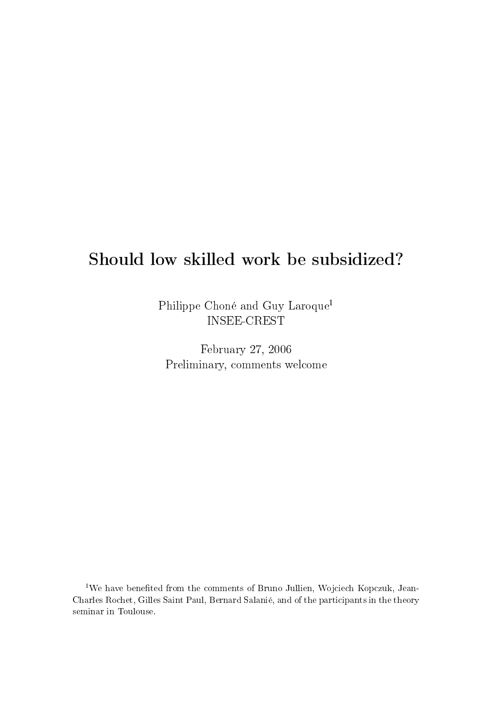# Should low skilled work be subsidized?

Philippe Choné and Guy Laroque<sup>1</sup> INSEE-CREST

February 27, 2006 Preliminary, comments welcome

 $1$ We have benefited from the comments of Bruno Jullien, Wojciech Kopczuk, Jean-Charles Rochet, Gilles Saint Paul, Bernard Salanié, and of the participants in the theory seminar in Toulouse.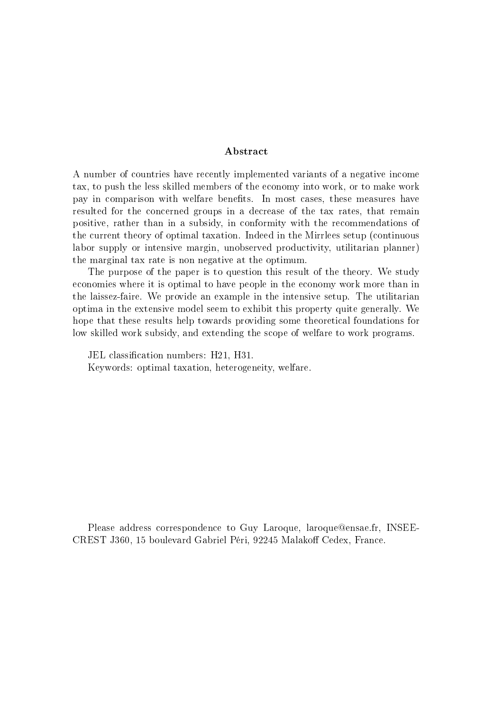#### Abstract

A number of countries have recently implemented variants of a negative income tax, to push the less skilled members of the economy into work, or to make work pay in comparison with welfare benefits. In most cases, these measures have resulted for the concerned groups in a decrease of the tax rates, that remain positive, rather than in a subsidy, in conformity with the recommendations of the current theory of optimal taxation. Indeed in the Mirrlees setup (continuous labor supply or intensive margin, unobserved productivity, utilitarian planner) the marginal tax rate is non negative at the optimum.

The purpose of the paper is to question this result of the theory. We study economies where it is optimal to have people in the economy work more than in the laissez-faire. We provide an example in the intensive setup. The utilitarian optima in the extensive model seem to exhibit this property quite generally. We hope that these results help towards providing some theoretical foundations for low skilled work subsidy, and extending the scope of welfare to work programs.

JEL classification numbers: H21, H31. Keywords: optimal taxation, heterogeneity, welfare.

Please address correspondence to Guy Laroque, laroque@ensae.fr, INSEE-CREST J360, 15 boulevard Gabriel Péri, 92245 Malakoff Cedex, France.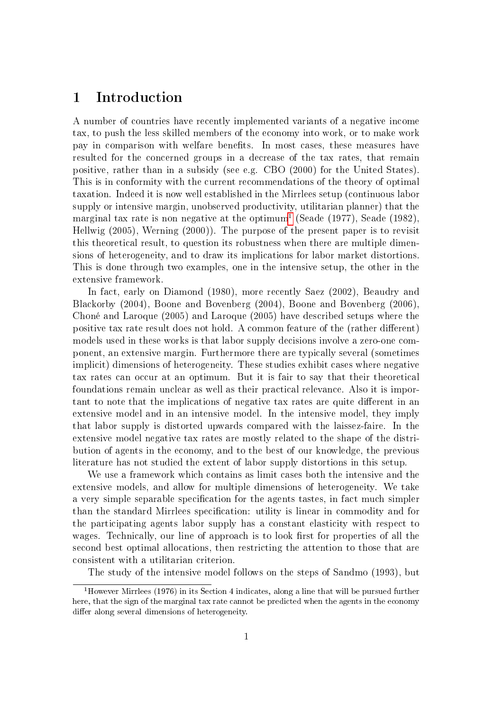### 1 Introduction

A number of countries have recently implemented variants of a negative income tax, to push the less skilled members of the economy into work, or to make work pay in comparison with welfare benefits. In most cases, these measures have resulted for the concerned groups in a decrease of the tax rates, that remain positive, rather than in a subsidy (see e.g. CBO (2000) for the United States). This is in conformity with the current recommendations of the theory of optimal taxation. Indeed it is now well established in the Mirrlees setup (continuous labor supply or intensive margin, unobserved productivity, utilitarian planner) that the marginal tax rate is non negative at the optimum<sup>[1](#page-2-0)</sup> (Seade (1977), Seade (1982), Hellwig (2005), Werning (2000)). The purpose of the present paper is to revisit this theoretical result, to question its robustness when there are multiple dimensions of heterogeneity, and to draw its implications for labor market distortions. This is done through two examples, one in the intensive setup, the other in the extensive framework.

In fact, early on Diamond (1980), more recently Saez (2002), Beaudry and Blackorby (2004), Boone and Bovenberg (2004), Boone and Bovenberg (2006), Choné and Laroque (2005) and Laroque (2005) have described setups where the positive tax rate result does not hold. A common feature of the (rather different) models used in these works is that labor supply decisions involve a zero-one component, an extensive margin. Furthermore there are typically several (sometimes implicit) dimensions of heterogeneity. These studies exhibit cases where negative tax rates can occur at an optimum. But it is fair to say that their theoretical foundations remain unclear as well as their practical relevance. Also it is important to note that the implications of negative tax rates are quite different in an extensive model and in an intensive model. In the intensive model, they imply that labor supply is distorted upwards compared with the laissez-faire. In the extensive model negative tax rates are mostly related to the shape of the distribution of agents in the economy, and to the best of our knowledge, the previous literature has not studied the extent of labor supply distortions in this setup.

We use a framework which contains as limit cases both the intensive and the extensive models, and allow for multiple dimensions of heterogeneity. We take a very simple separable specification for the agents tastes, in fact much simpler than the standard Mirrlees specification: utility is linear in commodity and for the participating agents labor supply has a constant elasticity with respect to wages. Technically, our line of approach is to look first for properties of all the second best optimal allocations, then restricting the attention to those that are consistent with a utilitarian criterion.

<span id="page-2-0"></span>The study of the intensive model follows on the steps of Sandmo (1993), but

<sup>&</sup>lt;sup>1</sup>However Mirrlees (1976) in its Section 4 indicates, along a line that will be pursued further here, that the sign of the marginal tax rate cannot be predicted when the agents in the economy differ along several dimensions of heterogeneity.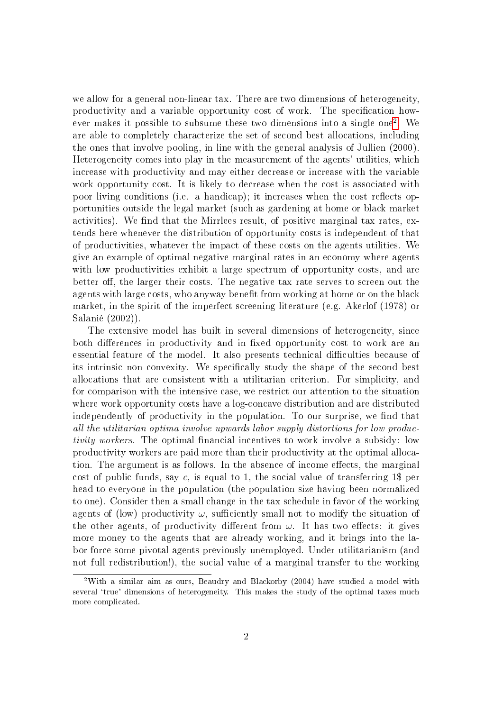we allow for a general non-linear tax. There are two dimensions of heterogeneity, productivity and a variable opportunity cost of work. The specication how-ever makes it possible to subsume these two dimensions into a single one<sup>[2](#page-3-0)</sup>. We are able to completely characterize the set of second best allocations, including the ones that involve pooling, in line with the general analysis of Jullien (2000). Heterogeneity comes into play in the measurement of the agents' utilities, which increase with productivity and may either decrease or increase with the variable work opportunity cost. It is likely to decrease when the cost is associated with poor living conditions (i.e. a handicap); it increases when the cost reflects opportunities outside the legal market (such as gardening at home or black market activities). We find that the Mirrlees result, of positive marginal tax rates, extends here whenever the distribution of opportunity costs is independent of that of productivities, whatever the impact of these costs on the agents utilities. We give an example of optimal negative marginal rates in an economy where agents with low productivities exhibit a large spectrum of opportunity costs, and are better off, the larger their costs. The negative tax rate serves to screen out the agents with large costs, who anyway benefit from working at home or on the black market, in the spirit of the imperfect screening literature (e.g. Akerlof (1978) or Salanié (2002)).

The extensive model has built in several dimensions of heterogeneity, since both differences in productivity and in fixed opportunity cost to work are an essential feature of the model. It also presents technical difficulties because of its intrinsic non convexity. We specifically study the shape of the second best allocations that are consistent with a utilitarian criterion. For simplicity, and for comparison with the intensive case, we restrict our attention to the situation where work opportunity costs have a log-concave distribution and are distributed independently of productivity in the population. To our surprise, we find that all the utilitarian optima involve upwards labor supply distortions for low productivity workers. The optimal financial incentives to work involve a subsidy: low productivity workers are paid more than their productivity at the optimal allocation. The argument is as follows. In the absence of income effects, the marginal cost of public funds, say c, is equal to 1, the social value of transferring 1\$ per head to everyone in the population (the population size having been normalized to one). Consider then a small change in the tax schedule in favor of the working agents of (low) productivity  $\omega$ , sufficiently small not to modify the situation of the other agents, of productivity different from  $\omega$ . It has two effects: it gives more money to the agents that are already working, and it brings into the labor force some pivotal agents previously unemployed. Under utilitarianism (and not full redistribution!), the social value of a marginal transfer to the working

<span id="page-3-0"></span><sup>2</sup>With a similar aim as ours, Beaudry and Blackorby (2004) have studied a model with several 'true' dimensions of heterogeneity. This makes the study of the optimal taxes much more complicated.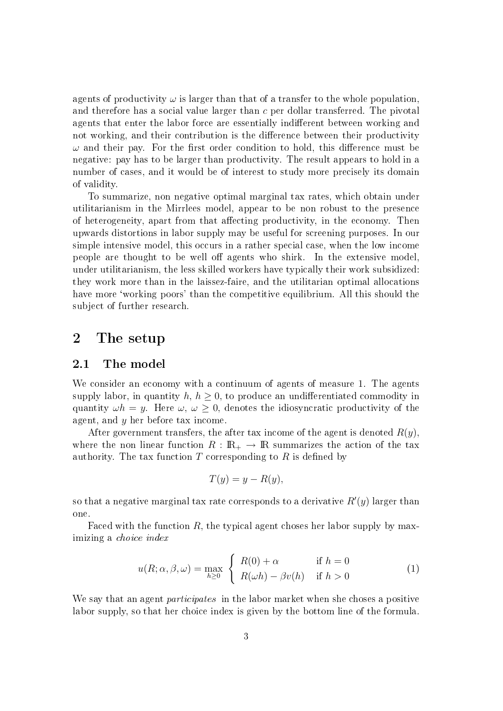agents of productivity  $\omega$  is larger than that of a transfer to the whole population. and therefore has a social value larger than c per dollar transferred. The pivotal agents that enter the labor force are essentially indifferent between working and not working, and their contribution is the difference between their productivity  $\omega$  and their pay. For the first order condition to hold, this difference must be negative: pay has to be larger than productivity. The result appears to hold in a number of cases, and it would be of interest to study more precisely its domain of validity.

To summarize, non negative optimal marginal tax rates, which obtain under utilitarianism in the Mirrlees model, appear to be non robust to the presence of heterogeneity, apart from that affecting productivity, in the economy. Then upwards distortions in labor supply may be useful for screening purposes. In our simple intensive model, this occurs in a rather special case, when the low income people are thought to be well off agents who shirk. In the extensive model, under utilitarianism, the less skilled workers have typically their work subsidized: they work more than in the laissez-faire, and the utilitarian optimal allocations have more 'working poors' than the competitive equilibrium. All this should the subject of further research.

### 2 The setup

### 2.1 The model

We consider an economy with a continuum of agents of measure 1. The agents supply labor, in quantity  $h, h \geq 0$ , to produce an undifferentiated commodity in quantity  $\omega h = y$ . Here  $\omega, \omega \geq 0$ , denotes the idiosyncratic productivity of the agent, and  $y$  her before tax income.

After government transfers, the after tax income of the agent is denoted  $R(y)$ . where the non linear function  $R : \mathbb{R}_+ \to \mathbb{R}$  summarizes the action of the tax authority. The tax function  $T$  corresponding to  $R$  is defined by

$$
T(y) = y - R(y),
$$

so that a negative marginal tax rate corresponds to a derivative  $R'(y)$  larger than one.

Faced with the function  $R$ , the typical agent choses her labor supply by maximizing a choice index

<span id="page-4-0"></span>
$$
u(R; \alpha, \beta, \omega) = \max_{h \ge 0} \begin{cases} R(0) + \alpha & \text{if } h = 0\\ R(\omega h) - \beta v(h) & \text{if } h > 0 \end{cases}
$$
 (1)

We say that an agent *participates* in the labor market when she choses a positive labor supply, so that her choice index is given by the bottom line of the formula.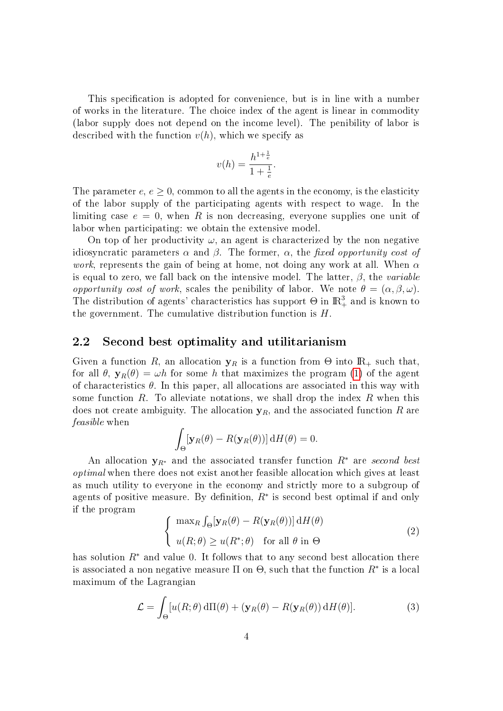This specification is adopted for convenience, but is in line with a number of works in the literature. The choice index of the agent is linear in commodity (labor supply does not depend on the income level). The penibility of labor is described with the function  $v(h)$ , which we specify as

$$
v(h) = \frac{h^{1 + \frac{1}{e}}}{1 + \frac{1}{e}}.
$$

The parameter  $e, e \geq 0$ , common to all the agents in the economy, is the elasticity of the labor supply of the participating agents with respect to wage. In the limiting case  $e = 0$ , when R is non decreasing, everyone supplies one unit of labor when participating: we obtain the extensive model.

On top of her productivity  $\omega$ , an agent is characterized by the non negative idiosyncratic parameters  $\alpha$  and  $\beta$ . The former,  $\alpha$ , the fixed opportunity cost of *work*, represents the gain of being at home, not doing any work at all. When  $\alpha$ is equal to zero, we fall back on the intensive model. The latter,  $\beta$ , the variable opportunity cost of work, scales the penibility of labor. We note  $\theta = (\alpha, \beta, \omega)$ . The distribution of agents' characteristics has support  $\Theta$  in  $\mathbb{R}^3_+$  and is known to the government. The cumulative distribution function is  $H$ .

### 2.2 Second best optimality and utilitarianism

Given a function R, an allocation  $y_R$  is a function from  $\Theta$  into  $\mathbb{R}_+$  such that, for all  $\theta$ ,  $y_R(\theta) = \omega h$  for some h that maximizes the program [\(1\)](#page-4-0) of the agent of characteristics  $\theta$ . In this paper, all allocations are associated in this way with some function R. To alleviate notations, we shall drop the index R when this does not create ambiguity. The allocation  $y_R$ , and the associated function R are feasible when

$$
\int_{\Theta} [\mathbf{y}_R(\theta) - R(\mathbf{y}_R(\theta))] \, \mathrm{d}H(\theta) = 0.
$$

An allocation  $y_{R^*}$  and the associated transfer function  $R^*$  are second best optimal when there does not exist another feasible allocation which gives at least as much utility to everyone in the economy and strictly more to a subgroup of agents of positive measure. By definition,  $R^*$  is second best optimal if and only if the program

$$
\begin{cases}\n\max_{R} \int_{\Theta} [\mathbf{y}_{R}(\theta) - R(\mathbf{y}_{R}(\theta))] \, dH(\theta) \\
u(R; \theta) \ge u(R^*; \theta) \quad \text{for all } \theta \text{ in } \Theta\n\end{cases} \tag{2}
$$

has solution  $R^*$  and value 0. It follows that to any second best allocation there is associated a non negative measure  $\Pi$  on  $\Theta,$  such that the function  $R^*$  is a local maximum of the Lagrangian

<span id="page-5-0"></span>
$$
\mathcal{L} = \int_{\Theta} [u(R; \theta) \, d\Pi(\theta) + (\mathbf{y}_R(\theta) - R(\mathbf{y}_R(\theta)) \, dH(\theta)]. \tag{3}
$$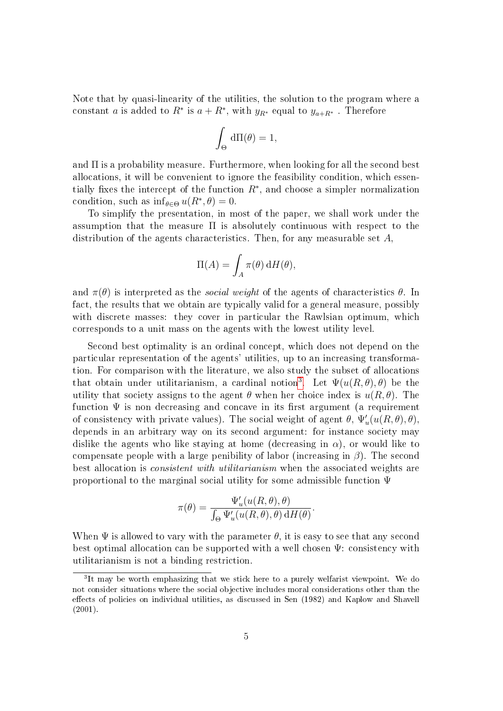Note that by quasi-linearity of the utilities, the solution to the program where a constant a is added to  $R^*$  is  $a + R^*$ , with  $y_{R^*}$  equal to  $y_{a+R^*}$ . Therefore

$$
\int_{\Theta} d\Pi(\theta) = 1,
$$

and  $\Pi$  is a probability measure. Furthermore, when looking for all the second best allocations, it will be convenient to ignore the feasibility condition, which essentially fixes the intercept of the function  $R^*$ , and choose a simpler normalization condition, such as  $\inf_{\theta \in \Theta} u(R^*, \theta) = 0$ .

To simplify the presentation, in most of the paper, we shall work under the assumption that the measure  $\Pi$  is absolutely continuous with respect to the distribution of the agents characteristics. Then, for any measurable set A,

$$
\Pi(A) = \int_A \pi(\theta) \, dH(\theta),
$$

and  $\pi(\theta)$  is interpreted as the *social weight* of the agents of characteristics  $\theta$ . In fact, the results that we obtain are typically valid for a general measure, possibly with discrete masses: they cover in particular the Rawlsian optimum, which corresponds to a unit mass on the agents with the lowest utility level.

Second best optimality is an ordinal concept, which does not depend on the particular representation of the agents' utilities, up to an increasing transformation. For comparison with the literature, we also study the subset of allocations that obtain under utilitarianism, a cardinal notion<sup>[3](#page-6-0)</sup>. Let  $\Psi(u(R,\theta),\theta)$  be the utility that society assigns to the agent  $\theta$  when her choice index is  $u(R, \theta)$ . The function  $\Psi$  is non decreasing and concave in its first argument (a requirement of consistency with private values). The social weight of agent  $\theta$ ,  $\Psi'_u(u(R, \theta), \theta)$ , depends in an arbitrary way on its second argument: for instance society may dislike the agents who like staying at home (decreasing in  $\alpha$ ), or would like to compensate people with a large penibility of labor (increasing in  $\beta$ ). The second best allocation is consistent with utilitarianism when the associated weights are proportional to the marginal social utility for some admissible function Ψ

$$
\pi(\theta) = \frac{\Psi_u'(u(R,\theta), \theta)}{\int_{\Theta} \Psi_u'(u(R,\theta), \theta) \, dH(\theta)}.
$$

When  $\Psi$  is allowed to vary with the parameter  $\theta$ , it is easy to see that any second best optimal allocation can be supported with a well chosen Ψ: consistency with utilitarianism is not a binding restriction.

<span id="page-6-0"></span><sup>&</sup>lt;sup>3</sup>It may be worth emphasizing that we stick here to a purely welfarist viewpoint. We do not consider situations where the social objective includes moral considerations other than the effects of policies on individual utilities, as discussed in Sen (1982) and Kaplow and Shavell (2001).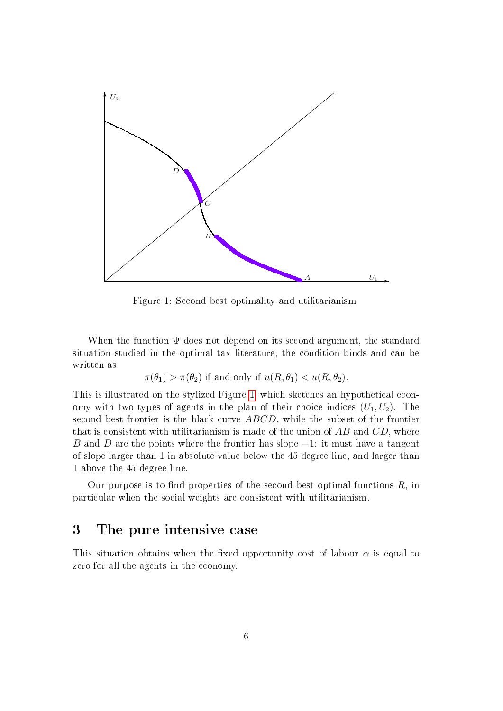

<span id="page-7-0"></span>Figure 1: Second best optimality and utilitarianism

When the function  $\Psi$  does not depend on its second argument, the standard situation studied in the optimal tax literature, the condition binds and can be written as

$$
\pi(\theta_1) > \pi(\theta_2)
$$
 if and only if  $u(R, \theta_1) < u(R, \theta_2)$ .

This is illustrated on the stylized Figure [1,](#page-7-0) which sketches an hypothetical economy with two types of agents in the plan of their choice indices  $(U_1, U_2)$ . The second best frontier is the black curve ABCD, while the subset of the frontier that is consistent with utilitarianism is made of the union of  $AB$  and  $CD$ , where B and D are the points where the frontier has slope  $-1$ : it must have a tangent of slope larger than 1 in absolute value below the 45 degree line, and larger than 1 above the 45 degree line.

Our purpose is to find properties of the second best optimal functions  $R$ , in particular when the social weights are consistent with utilitarianism.

### 3 The pure intensive case

This situation obtains when the fixed opportunity cost of labour  $\alpha$  is equal to zero for all the agents in the economy.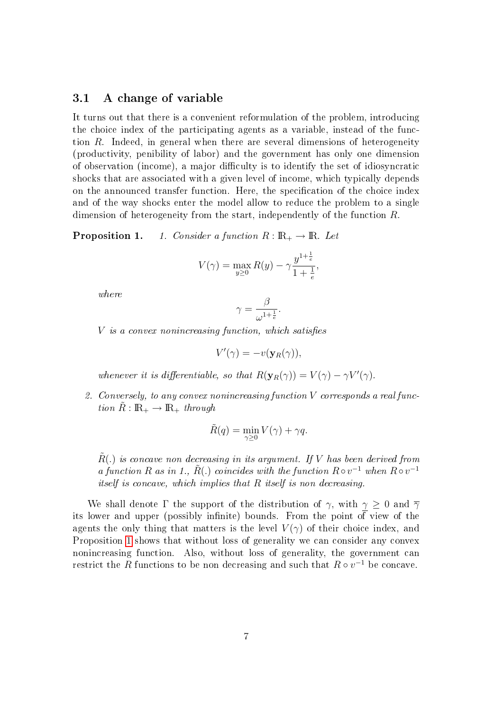### 3.1 A change of variable

It turns out that there is a convenient reformulation of the problem, introducing the choice index of the participating agents as a variable, instead of the function R. Indeed, in general when there are several dimensions of heterogeneity (productivity, penibility of labor) and the government has only one dimension of observation (income), a major diculty is to identify the set of idiosyncratic shocks that are associated with a given level of income, which typically depends on the announced transfer function. Here, the specification of the choice index and of the way shocks enter the model allow to reduce the problem to a single dimension of heterogeneity from the start, independently of the function R.

<span id="page-8-0"></span>**Proposition 1.** 1. Consider a function  $R : \mathbb{R}_+ \to \mathbb{R}$ . Let

$$
V(\gamma) = \max_{y \ge 0} R(y) - \gamma \frac{y^{1 + \frac{1}{e}}}{1 + \frac{1}{e}},
$$

where

$$
\gamma = \frac{\beta}{\omega^{1 + \frac{1}{e}}}.
$$

 $V$  is a convex nonincreasing function, which satisfies

$$
V'(\gamma) = -v(\mathbf{y}_R(\gamma)),
$$

whenever it is differentiable, so that  $R(\mathbf{y}_R(\gamma)) = V(\gamma) - \gamma V'(\gamma)$ .

2. Conversely, to any convex nonincreasing function V corresponds a real function  $R: \mathbb{R}_+ \to \mathbb{R}_+$  through

$$
\tilde{R}(q) = \min_{\gamma \ge 0} V(\gamma) + \gamma q.
$$

 $\tilde{R}$ .) is concave non decreasing in its argument. If V has been derived from a function R as in 1.,  $\tilde{R}$ (.) coincides with the function  $R \circ v^{-1}$  when  $R \circ v^{-1}$ itself is concave, which implies that R itself is non decreasing.

We shall denote Γ the support of the distribution of  $\gamma$ , with  $\gamma \geq 0$  and  $\overline{\gamma}$ its lower and upper (possibly infinite) bounds. From the point of view of the agents the only thing that matters is the level  $V(\gamma)$  of their choice index, and Proposition [1](#page-8-0) shows that without loss of generality we can consider any convex nonincreasing function. Also, without loss of generality, the government can restrict the  $R$  functions to be non decreasing and such that  $R \circ v^{-1}$  be concave.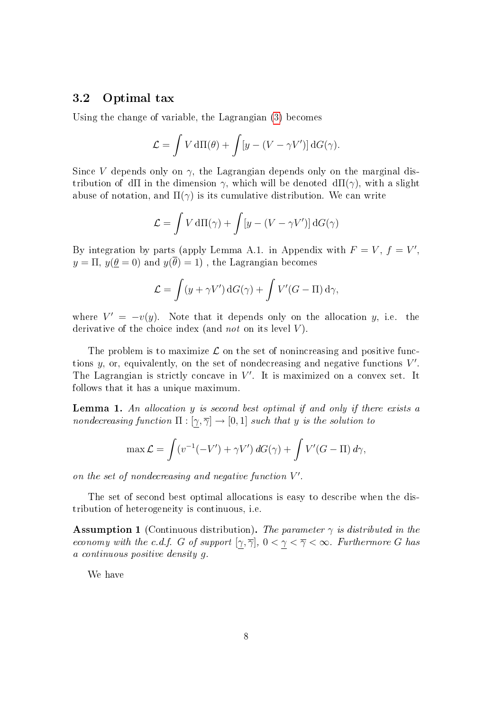### 3.2 Optimal tax

Using the change of variable, the Lagrangian [\(3\)](#page-5-0) becomes

$$
\mathcal{L} = \int V d\Pi(\theta) + \int [y - (V - \gamma V')] dG(\gamma).
$$

Since V depends only on  $\gamma$ , the Lagrangian depends only on the marginal distribution of dΠ in the dimension  $\gamma$ , which will be denoted dΠ( $\gamma$ ), with a slight abuse of notation, and  $\Pi(\gamma)$  is its cumulative distribution. We can write

$$
\mathcal{L} = \int V \, \mathrm{d}\Pi(\gamma) + \int [y - (V - \gamma V')] \, \mathrm{d}G(\gamma)
$$

By integration by parts (apply Lemma A.1. in Appendix with  $F = V$ ,  $f = V'$ ,  $y = \Pi$ ,  $y(\theta = 0)$  and  $y(\overline{\theta}) = 1$ , the Lagrangian becomes

$$
\mathcal{L} = \int (y + \gamma V') dG(\gamma) + \int V'(G - \Pi) d\gamma,
$$

where  $V' = -v(y)$ . Note that it depends only on the allocation y, i.e. the derivative of the choice index (and *not* on its level  $V$ ).

The problem is to maximize  $\mathcal L$  on the set of nonincreasing and positive functions  $y$ , or, equivalently, on the set of nondecreasing and negative functions  $V'$ . The Lagrangian is strictly concave in  $V'$ . It is maximized on a convex set. It follows that it has a unique maximum.

<span id="page-9-1"></span>Lemma 1. An allocation y is second best optimal if and only if there exists a nondecreasing function  $\Pi : [\gamma, \overline{\gamma}] \to [0, 1]$  such that y is the solution to

$$
\max \mathcal{L} = \int (v^{-1}(-V') + \gamma V') dG(\gamma) + \int V'(G - \Pi) d\gamma,
$$

on the set of nondecreasing and negative function  $V'$ .

The set of second best optimal allocations is easy to describe when the distribution of heterogeneity is continuous, i.e.

<span id="page-9-0"></span>**Assumption 1** (Continuous distribution). The parameter  $\gamma$  is distributed in the economy with the c.d.f. G of support  $[\gamma, \overline{\gamma}]$ ,  $0 < \gamma < \overline{\gamma} < \infty$ . Furthermore G has a continuous positive density g.

<span id="page-9-2"></span>We have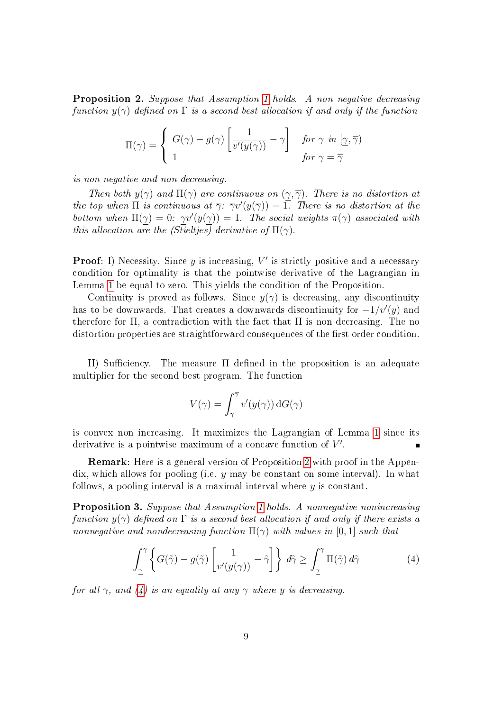Proposition 2. Suppose that Assumption [1](#page-9-0) holds. A non negative decreasing function  $y(\gamma)$  defined on  $\Gamma$  is a second best allocation if and only if the function

$$
\Pi(\gamma) = \begin{cases} G(\gamma) - g(\gamma) \left[ \frac{1}{v'(y(\gamma))} - \gamma \right] & \text{for } \gamma \text{ in } [\gamma, \overline{\gamma}) \\ 1 & \text{for } \gamma = \overline{\gamma} \end{cases}
$$

is non negative and non decreasing.

Then both  $y(\gamma)$  and  $\Pi(\gamma)$  are continuous on  $(\gamma, \overline{\gamma})$ . There is no distortion at the top when  $\Pi$  is continuous at  $\overline{\gamma}$ :  $\overline{\gamma}v'(y(\overline{\gamma})) = \overline{1}$ . There is no distortion at the bottom when  $\Pi(\gamma) = 0$ :  $\gamma v'(y(\gamma)) = 1$ . The social weights  $\pi(\gamma)$  associated with this allocation are the (Stieltjes) derivative of  $\Pi(\gamma)$ .

**Proof:** I) Necessity. Since  $y$  is increasing,  $V'$  is strictly positive and a necessary condition for optimality is that the pointwise derivative of the Lagrangian in Lemma [1](#page-9-1) be equal to zero. This yields the condition of the Proposition.

Continuity is proved as follows. Since  $y(\gamma)$  is decreasing, any discontinuity has to be downwards. That creates a downwards discontinuity for  $-1/v'(y)$  and therefore for  $\Pi$ , a contradiction with the fact that  $\Pi$  is non decreasing. The no distortion properties are straightforward consequences of the first order condition.

II) Sufficiency. The measure  $\Pi$  defined in the proposition is an adequate multiplier for the second best program. The function

<span id="page-10-0"></span>
$$
V(\gamma) = \int_{\gamma}^{\overline{\gamma}} v'(y(\gamma)) \,dG(\gamma)
$$

is convex non increasing. It maximizes the Lagrangian of Lemma [1](#page-9-1) since its derivative is a pointwise maximum of a concave function of  $V'$ .

Remark: Here is a general version of Proposition [2](#page-9-2) with proof in the Appendix, which allows for pooling (i.e.  $y$  may be constant on some interval). In what follows, a pooling interval is a maximal interval where  $y$  is constant.

<span id="page-10-1"></span>Proposition 3. Suppose that Assumption [1](#page-9-0) holds. A nonnegative nonincreasing function  $y(\gamma)$  defined on  $\Gamma$  is a second best allocation if and only if there exists a nonnegative and nondecreasing function  $\Pi(\gamma)$  with values in [0,1] such that

$$
\int_{\underline{\gamma}}^{\gamma} \left\{ G(\tilde{\gamma}) - g(\tilde{\gamma}) \left[ \frac{1}{v'(y(\gamma))} - \tilde{\gamma} \right] \right\} d\tilde{\gamma} \ge \int_{\underline{\gamma}}^{\gamma} \Pi(\tilde{\gamma}) d\tilde{\gamma}
$$
 (4)

for all  $\gamma$ , and [\(4\)](#page-10-0) is an equality at any  $\gamma$  where y is decreasing.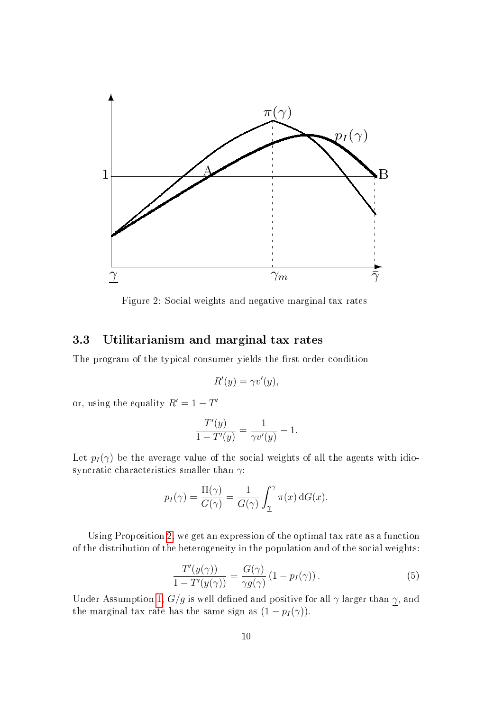

<span id="page-11-0"></span>Figure 2: Social weights and negative marginal tax rates

### 3.3 Utilitarianism and marginal tax rates

The program of the typical consumer yields the first order condition

$$
R'(y) = \gamma v'(y),
$$

or, using the equality  $R' = 1 - T'$ 

$$
\frac{T'(y)}{1 - T'(y)} = \frac{1}{\gamma v'(y)} - 1.
$$

Let  $p_I(\gamma)$  be the average value of the social weights of all the agents with idiosyncratic characteristics smaller than  $\gamma$ :

$$
p_I(\gamma) = \frac{\Pi(\gamma)}{G(\gamma)} = \frac{1}{G(\gamma)} \int_{\underline{\gamma}}^{\gamma} \pi(x) dG(x).
$$

<span id="page-11-1"></span>Using Proposition [2,](#page-9-2) we get an expression of the optimal tax rate as a function of the distribution of the heterogeneity in the population and of the social weights:

$$
\frac{T'(y(\gamma))}{1 - T'(y(\gamma))} = \frac{G(\gamma)}{\gamma g(\gamma)} (1 - p_I(\gamma)).
$$
\n(5)

Under Assumption [1,](#page-9-0)  $G/g$  is well defined and positive for all  $\gamma$  larger than  $\gamma$ , and the marginal tax rate has the same sign as  $(1 - p_I(\gamma))$ .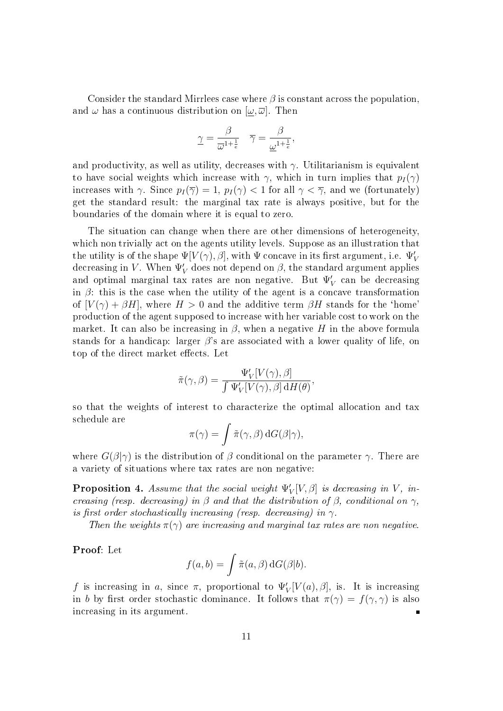Consider the standard Mirrlees case where  $\beta$  is constant across the population. and  $\omega$  has a continuous distribution on  $[\omega, \overline{\omega}]$ . Then

$$
\underline{\gamma} = \frac{\beta}{\overline{\omega}^{1 + \frac{1}{e}}} \quad \overline{\gamma} = \frac{\beta}{\underline{\omega}^{1 + \frac{1}{e}}},
$$

and productivity, as well as utility, decreases with  $\gamma$ . Utilitarianism is equivalent to have social weights which increase with  $\gamma$ , which in turn implies that  $p_I(\gamma)$ increases with  $\gamma$ . Since  $p_I(\overline{\gamma}) = 1$ ,  $p_I(\gamma) < 1$  for all  $\gamma < \overline{\gamma}$ , and we (fortunately) get the standard result: the marginal tax rate is always positive, but for the boundaries of the domain where it is equal to zero.

The situation can change when there are other dimensions of heterogeneity, which non trivially act on the agents utility levels. Suppose as an illustration that the utility is of the shape  $\Psi[V(\gamma), \beta],$  with  $\Psi$  concave in its first argument, i.e.  $\Psi_V'$ decreasing in  $V.$  When  $\Psi_V'$  does not depend on  $\beta,$  the standard argument applies and optimal marginal tax rates are non negative. But  $\Psi_V'$  can be decreasing in  $\beta$ : this is the case when the utility of the agent is a concave transformation of  $[V(\gamma) + \beta H]$ , where  $H > 0$  and the additive term  $\beta H$  stands for the 'home' production of the agent supposed to increase with her variable cost to work on the market. It can also be increasing in  $\beta$ , when a negative H in the above formula stands for a handicap: larger  $\beta$ 's are associated with a lower quality of life, on top of the direct market effects. Let

$$
\tilde{\pi}(\gamma,\beta) = \frac{\Psi'_V[V(\gamma),\beta]}{\int \Psi'_V[V(\gamma),\beta] \, dH(\theta)},
$$

so that the weights of interest to characterize the optimal allocation and tax schedule are

$$
\pi(\gamma) = \int \tilde{\pi}(\gamma, \beta) \, dG(\beta|\gamma),
$$

where  $G(\beta|\gamma)$  is the distribution of  $\beta$  conditional on the parameter  $\gamma$ . There are a variety of situations where tax rates are non negative:

**Proposition 4.** Assume that the social weight  $\Psi_V'[V, \beta]$  is decreasing in V, increasing (resp. decreasing) in  $\beta$  and that the distribution of  $\beta$ , conditional on  $\gamma$ , is first order stochastically increasing (resp. decreasing) in  $\gamma$ .

Then the weights  $\pi(\gamma)$  are increasing and marginal tax rates are non negative.

Proof: Let

$$
f(a,b) = \int \tilde{\pi}(a,\beta) \, dG(\beta|b).
$$

f is increasing in a, since  $\pi$ , proportional to  $\Psi_V'[V(a), \beta]$ , is. It is increasing in b by first order stochastic dominance. It follows that  $\pi(\gamma) = f(\gamma, \gamma)$  is also increasing in its argument.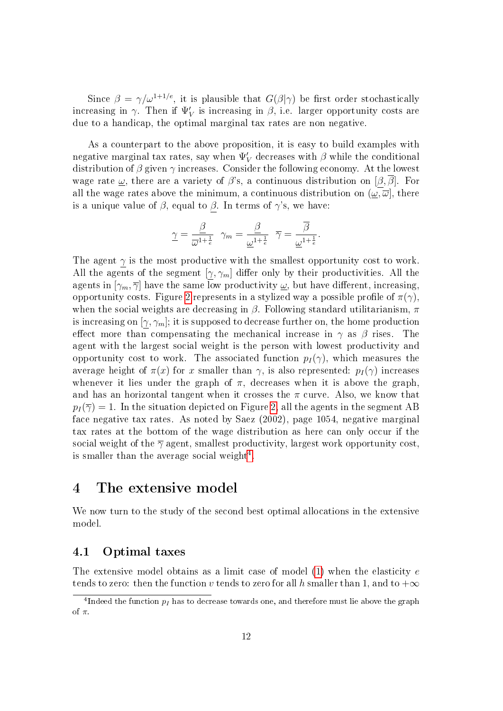Since  $\beta = \gamma/\omega^{1+1/e}$ , it is plausible that  $G(\beta|\gamma)$  be first order stochastically increasing in  $\gamma$ . Then if  $\Psi_V'$  is increasing in  $\beta$ , i.e. larger opportunity costs are due to a handicap, the optimal marginal tax rates are non negative.

As a counterpart to the above proposition, it is easy to build examples with negative marginal tax rates, say when  $\Psi_V'$  decreases with  $\beta$  while the conditional distribution of  $\beta$  given  $\gamma$  increases. Consider the following economy. At the lowest wage rate  $\omega$ , there are a variety of  $\beta$ 's, a continuous distribution on  $[\beta, \overline{\beta}]$ . For all the wage rates above the minimum, a continuous distribution on  $(\omega, \overline{\omega})$ , there is a unique value of  $\beta$ , equal to  $\beta$ . In terms of  $\gamma$ 's, we have:

$$
\underline{\gamma} = \frac{\underline{\beta}}{\overline{\omega}^{1 + \frac{1}{e}}} \quad \gamma_m = \frac{\underline{\beta}}{\underline{\omega}^{1 + \frac{1}{e}}} \quad \overline{\gamma} = \frac{\overline{\beta}}{\underline{\omega}^{1 + \frac{1}{e}}}.
$$

The agent  $\gamma$  is the most productive with the smallest opportunity cost to work. All the agents of the segment  $[\gamma, \gamma_m]$  differ only by their productivities. All the agents in  $[\gamma_m, \overline{\gamma}]$  have the same low productivity  $\omega$ , but have different, increasing, opportunity costs. Figure [2](#page-11-0) represents in a stylized way a possible profile of  $\pi(\gamma)$ . when the social weights are decreasing in  $\beta$ . Following standard utilitarianism,  $\pi$ is increasing on  $[\gamma, \gamma_m]$ ; it is supposed to decrease further on, the home production effect more than compensating the mechanical increase in  $\gamma$  as  $\beta$  rises. The agent with the largest social weight is the person with lowest productivity and opportunity cost to work. The associated function  $p_I(\gamma)$ , which measures the average height of  $\pi(x)$  for x smaller than  $\gamma$ , is also represented:  $p_I(\gamma)$  increases whenever it lies under the graph of  $\pi$ , decreases when it is above the graph. and has an horizontal tangent when it crosses the  $\pi$  curve. Also, we know that  $p_I(\overline{\gamma}) = 1$ . In the situation depicted on Figure [2,](#page-11-0) all the agents in the segment AB face negative tax rates. As noted by Saez (2002), page 1054, negative marginal tax rates at the bottom of the wage distribution as here can only occur if the social weight of the  $\overline{\gamma}$  agent, smallest productivity, largest work opportunity cost, is smaller than the average social weight<sup>[4](#page-13-0)</sup>.

### 4 The extensive model

We now turn to the study of the second best optimal allocations in the extensive model.

### 4.1 Optimal taxes

The extensive model obtains as a limit case of model  $(1)$  when the elasticity  $e$ tends to zero: then the function v tends to zero for all h smaller than 1, and to  $+\infty$ 

<span id="page-13-0"></span> $^4$ Indeed the function  $p_I$  has to decrease towards one, and therefore must lie above the graph of π.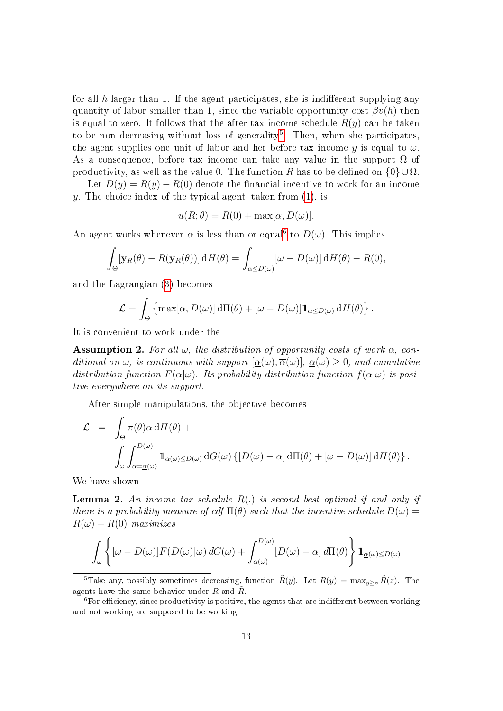for all h larger than 1. If the agent participates, she is indifferent supplying any quantity of labor smaller than 1, since the variable opportunity cost  $\beta v(h)$  then is equal to zero. It follows that the after tax income schedule  $R(y)$  can be taken to be non decreasing without loss of generality<sup>[5](#page-14-0)</sup>. Then, when she participates, the agent supplies one unit of labor and her before tax income y is equal to  $\omega$ . As a consequence, before tax income can take any value in the support  $\Omega$  of productivity, as well as the value 0. The function R has to be defined on  $\{0\} \cup \Omega$ .

Let  $D(y) = R(y) - R(0)$  denote the financial incentive to work for an income y. The choice index of the typical agent, taken from  $(1)$ , is

$$
u(R; \theta) = R(0) + \max[\alpha, D(\omega)].
$$

An agent works whenever  $\alpha$  is less than or equal<sup>[6](#page-14-1)</sup> to  $D(\omega)$ . This implies

$$
\int_{\Theta} [\mathbf{y}_R(\theta) - R(\mathbf{y}_R(\theta))] \, dH(\theta) = \int_{\alpha \le D(\omega)} [\omega - D(\omega)] \, dH(\theta) - R(0),
$$

and the Lagrangian [\(3\)](#page-5-0) becomes

$$
\mathcal{L} = \int_{\Theta} \left\{ \max[\alpha, D(\omega)] \, d\Pi(\theta) + [\omega - D(\omega)] \mathbb{1}_{\alpha \leq D(\omega)} \, dH(\theta) \right\}.
$$

<span id="page-14-2"></span>It is convenient to work under the

**Assumption 2.** For all  $\omega$ , the distribution of opportunity costs of work  $\alpha$ , conditional on  $\omega$ , is continuous with support  $[\alpha(\omega), \overline{\alpha}(\omega)]$ ,  $\alpha(\omega) > 0$ , and cumulative distribution function  $F(\alpha|\omega)$ . Its probability distribution function  $f(\alpha|\omega)$  is positive everywhere on its support.

After simple manipulations, the objective becomes

$$
\mathcal{L} = \int_{\Theta} \pi(\theta) \alpha \, dH(\theta) +
$$
  

$$
\int_{\omega} \int_{\alpha = \underline{\alpha}(\omega)}^{D(\omega)} \mathbf{1}_{\underline{\alpha}(\omega) \le D(\omega)} dG(\omega) \left\{ [D(\omega) - \alpha] \, d\Pi(\theta) + [\omega - D(\omega)] \, dH(\theta) \right\}.
$$

We have shown

**Lemma 2.** An income tax schedule  $R(.)$  is second best optimal if and only if there is a probability measure of cdf  $\Pi(\theta)$  such that the incentive schedule  $D(\omega)$  $R(\omega) - R(0)$  maximizes

$$
\int_{\omega} \left\{ [\omega - D(\omega)] F(D(\omega) | \omega) dG(\omega) + \int_{\underline{\alpha}(\omega)}^{D(\omega)} [D(\omega) - \alpha] d\Pi(\theta) \right\} \mathbf{1}_{\underline{\alpha}(\omega) \leq D(\omega)}
$$

<span id="page-14-0"></span><sup>5</sup>Take any, possibly sometimes decreasing, function  $\tilde{R}(y)$ . Let  $R(y) = \max_{y \geq z} \tilde{R}(z)$ . The agents have the same behavior under R and  $\tilde{R}$ .

<span id="page-14-1"></span> ${}^{6}$  For efficiency, since productivity is positive, the agents that are indifferent between working and not working are supposed to be working.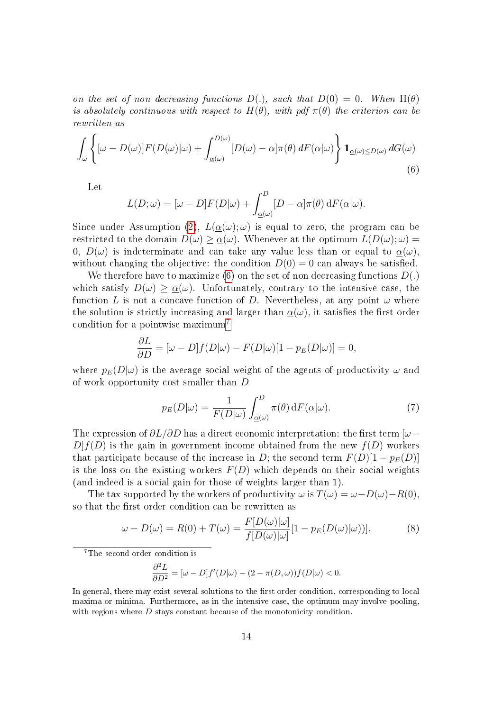on the set of non decreasing functions  $D(.)$ , such that  $D(0) = 0$ . When  $\Pi(\theta)$ is absolutely continuous with respect to  $H(\theta)$ , with pdf  $\pi(\theta)$  the criterion can be rewritten as

<span id="page-15-0"></span>
$$
\int_{\omega} \left\{ [\omega - D(\omega)] F(D(\omega)|\omega) + \int_{\underline{\alpha}(\omega)}^{D(\omega)} [D(\omega) - \alpha] \pi(\theta) dF(\alpha|\omega) \right\} \mathbb{1}_{\underline{\alpha}(\omega) \le D(\omega)} dG(\omega)
$$
\n(6)

Let

$$
L(D; \omega) = [\omega - D]F(D|\omega) + \int_{\underline{\alpha}(\omega)}^{D} [D - \alpha] \pi(\theta) \, dF(\alpha|\omega).
$$

Since under Assumption [\(2\)](#page-14-2),  $L(\alpha(\omega);\omega)$  is equal to zero, the program can be restricted to the domain  $D(\omega) \geq \underline{\alpha}(\omega)$ . Whenever at the optimum  $L(D(\omega); \omega) =$ 0,  $D(\omega)$  is indeterminate and can take any value less than or equal to  $\alpha(\omega)$ , without changing the objective: the condition  $D(0) = 0$  can always be satisfied.

We therefore have to maximize [\(6\)](#page-15-0) on the set of non decreasing functions  $D(.)$ which satisfy  $D(\omega) \geq \alpha(\omega)$ . Unfortunately, contrary to the intensive case, the function L is not a concave function of D. Nevertheless, at any point  $\omega$  where the solution is strictly increasing and larger than  $\alpha(\omega)$ , it satisfies the first order condition for a pointwise maximum[7](#page-15-1)

$$
\frac{\partial L}{\partial D} = [\omega - D]f(D|\omega) - F(D|\omega)[1 - p_E(D|\omega)] = 0,
$$

where  $p_E(D|\omega)$  is the average social weight of the agents of productivity  $\omega$  and of work opportunity cost smaller than D

<span id="page-15-3"></span>
$$
p_E(D|\omega) = \frac{1}{F(D|\omega)} \int_{\underline{\alpha}(\omega)}^D \pi(\theta) \, dF(\alpha|\omega).
$$
 (7)

The expression of  $\partial L/\partial D$  has a direct economic interpretation: the first term [ $\omega$ −  $D[f(D)]$  is the gain in government income obtained from the new  $f(D)$  workers that participate because of the increase in D; the second term  $F(D)[1 - p_E(D)]$ is the loss on the existing workers  $F(D)$  which depends on their social weights (and indeed is a social gain for those of weights larger than 1).

The tax supported by the workers of productivity  $\omega$  is  $T(\omega) = \omega - D(\omega) - R(0)$ . so that the first order condition can be rewritten as

$$
\omega - D(\omega) = R(0) + T(\omega) = \frac{F[D(\omega)|\omega]}{f[D(\omega)|\omega]} [1 - p_E(D(\omega)|\omega))]. \tag{8}
$$

<span id="page-15-1"></span><sup>7</sup>The second order condition is

<span id="page-15-2"></span>
$$
\frac{\partial^2 L}{\partial D^2} = [\omega - D]f'(D|\omega) - (2 - \pi(D, \omega))f(D|\omega) < 0.
$$

In general, there may exist several solutions to the first order condition, corresponding to local maxima or minima. Furthermore, as in the intensive case, the optimum may involve pooling, with regions where D stays constant because of the monotonicity condition.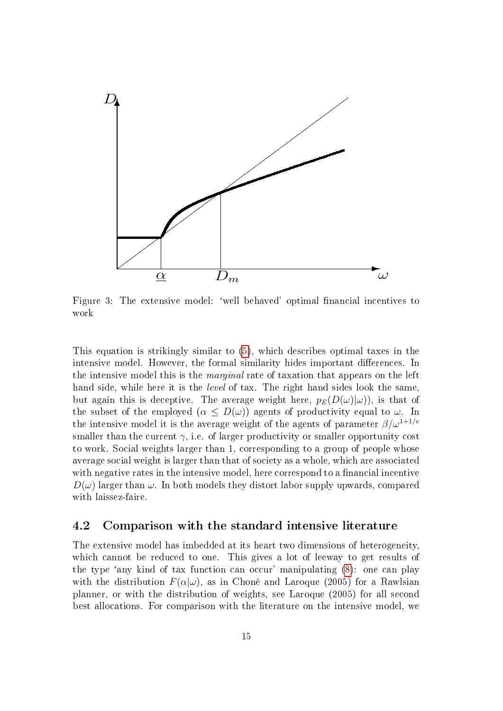

<span id="page-16-0"></span>Figure 3: The extensive model: 'well behaved' optimal financial incentives to work

This equation is strikingly similar to [\(5\)](#page-11-1), which describes optimal taxes in the intensive model. However, the formal similarity hides important differences. In the intensive model this is the marginal rate of taxation that appears on the left hand side, while here it is the *level* of tax. The right hand sides look the same, but again this is deceptive. The average weight here,  $p_E(D(\omega)|\omega)$ , is that of the subset of the employed  $(\alpha \leq D(\omega))$  agents of productivity equal to  $\omega$ . In the intensive model it is the average weight of the agents of parameter  $\beta/\omega^{1+1/e}$ smaller than the current  $\gamma$ , i.e. of larger productivity or smaller opportunity cost to work. Social weights larger than 1, corresponding to a group of people whose average social weight is larger than that of society as a whole, which are associated with negative rates in the intensive model, here correspond to a financial incentive  $D(\omega)$  larger than  $\omega$ . In both models they distort labor supply upwards, compared with laissez-faire.

### 4.2 Comparison with the standard intensive literature

The extensive model has imbedded at its heart two dimensions of heterogeneity, which cannot be reduced to one. This gives a lot of leeway to get results of the type `any kind of tax function can occur' manipulating [\(8\)](#page-15-2): one can play with the distribution  $F(\alpha|\omega)$ , as in Choné and Laroque (2005) for a Rawlsian planner, or with the distribution of weights, see Laroque (2005) for all second best allocations. For comparison with the literature on the intensive model, we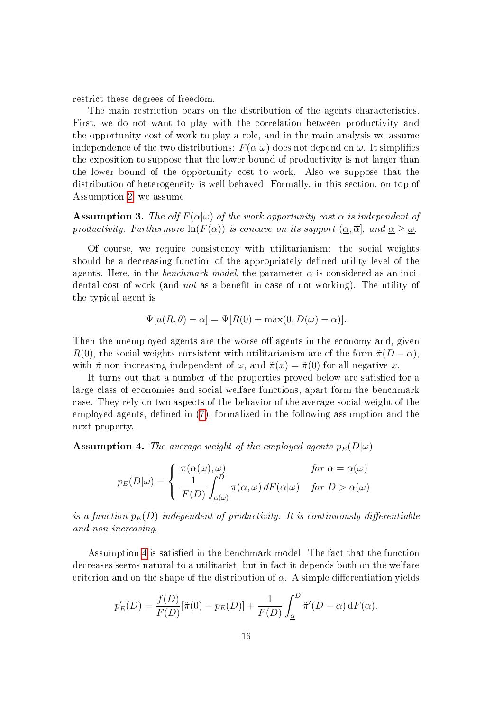restrict these degrees of freedom.

The main restriction bears on the distribution of the agents characteristics. First, we do not want to play with the correlation between productivity and the opportunity cost of work to play a role, and in the main analysis we assume independence of the two distributions:  $F(\alpha|\omega)$  does not depend on  $\omega$ . It simplifies the exposition to suppose that the lower bound of productivity is not larger than the lower bound of the opportunity cost to work. Also we suppose that the distribution of heterogeneity is well behaved. Formally, in this section, on top of Assumption [2,](#page-14-2) we assume

<span id="page-17-1"></span>**Assumption 3.** The cdf  $F(\alpha|\omega)$  of the work opportunity cost  $\alpha$  is independent of productivity. Furthermore  $\ln(F(\alpha))$  is concave on its support  $(\alpha, \overline{\alpha}]$ , and  $\alpha > \omega$ .

Of course, we require consistency with utilitarianism: the social weights should be a decreasing function of the appropriately defined utility level of the agents. Here, in the *benchmark model*, the parameter  $\alpha$  is considered as an incidental cost of work (and *not* as a benefit in case of not working). The utility of the typical agent is

$$
\Psi[u(R,\theta) - \alpha] = \Psi[R(0) + \max(0, D(\omega) - \alpha)].
$$

Then the unemployed agents are the worse off agents in the economy and, given  $R(0)$ , the social weights consistent with utilitarianism are of the form  $\tilde{\pi}(D-\alpha)$ , with  $\tilde{\pi}$  non increasing independent of  $\omega$ , and  $\tilde{\pi}(x) = \tilde{\pi}(0)$  for all negative x.

It turns out that a number of the properties proved below are satisfied for a large class of economies and social welfare functions, apart form the benchmark case. They rely on two aspects of the behavior of the average social weight of the employed agents, defined in  $(7)$ , formalized in the following assumption and the next property.

<span id="page-17-0"></span>**Assumption 4.** The average weight of the employed agents  $p_E(D|\omega)$ 

$$
p_E(D|\omega) = \begin{cases} \pi(\underline{\alpha}(\omega), \omega) & \text{for } \alpha = \underline{\alpha}(\omega) \\ \frac{1}{F(D)} \int_{\underline{\alpha}(\omega)}^D \pi(\alpha, \omega) dF(\alpha|\omega) & \text{for } D > \underline{\alpha}(\omega) \end{cases}
$$

is a function  $p_E(D)$  independent of productivity. It is continuously differentiable and non increasing.

Assumption [4](#page-17-0) is satisfied in the benchmark model. The fact that the function decreases seems natural to a utilitarist, but in fact it depends both on the welfare criterion and on the shape of the distribution of  $\alpha$ . A simple differentiation yields

$$
p'_E(D) = \frac{f(D)}{F(D)}[\tilde{\pi}(0) - p_E(D)] + \frac{1}{F(D)} \int_{\underline{\alpha}}^D \tilde{\pi}'(D - \alpha) dF(\alpha).
$$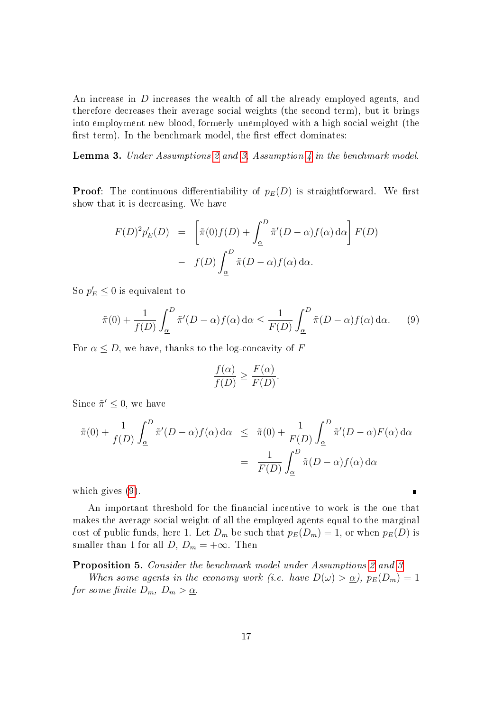An increase in D increases the wealth of all the already employed agents, and therefore decreases their average social weights (the second term), but it brings into employment new blood, formerly unemployed with a high social weight (the first term). In the benchmark model, the first effect dominates:

Lemma 3. Under Assumptions [2](#page-14-2) and [3,](#page-17-1) Assumption [4](#page-17-0) in the benchmark model.

**Proof:** The continuous differentiability of  $p_E(D)$  is straightforward. We first show that it is decreasing. We have

$$
F(D)^{2}p'_{E}(D) = \left[\tilde{\pi}(0)f(D) + \int_{\underline{\alpha}}^{D} \tilde{\pi}'(D-\alpha)f(\alpha) d\alpha\right] F(D)
$$

$$
- f(D) \int_{\underline{\alpha}}^{D} \tilde{\pi}(D-\alpha)f(\alpha) d\alpha.
$$

So  $p'_E \leq 0$  is equivalent to

$$
\tilde{\pi}(0) + \frac{1}{f(D)} \int_{\underline{\alpha}}^{D} \tilde{\pi}'(D - \alpha) f(\alpha) d\alpha \le \frac{1}{F(D)} \int_{\underline{\alpha}}^{D} \tilde{\pi}(D - \alpha) f(\alpha) d\alpha.
$$
 (9)

For  $\alpha \leq D$ , we have, thanks to the log-concavity of F

<span id="page-18-0"></span>
$$
\frac{f(\alpha)}{f(D)} \ge \frac{F(\alpha)}{F(D)}.
$$

Since  $\tilde{\pi}' \leq 0$ , we have

$$
\tilde{\pi}(0) + \frac{1}{f(D)} \int_{\underline{\alpha}}^{D} \tilde{\pi}'(D - \alpha) f(\alpha) d\alpha \leq \tilde{\pi}(0) + \frac{1}{F(D)} \int_{\underline{\alpha}}^{D} \tilde{\pi}'(D - \alpha) F(\alpha) d\alpha
$$

$$
= \frac{1}{F(D)} \int_{\underline{\alpha}}^{D} \tilde{\pi}(D - \alpha) f(\alpha) d\alpha
$$

which gives [\(9\)](#page-18-0).

An important threshold for the financial incentive to work is the one that makes the average social weight of all the employed agents equal to the marginal cost of public funds, here 1. Let  $D_m$  be such that  $p_E(D_m) = 1$ , or when  $p_E(D)$  is smaller than 1 for all  $D, D_m = +\infty$ . Then

Proposition 5. Consider the benchmark model under Assumptions [2](#page-14-2) and [3.](#page-17-1)

When some agents in the economy work (i.e. have  $D(\omega) > \underline{\alpha}$ ),  $p_E(D_m) = 1$ for some finite  $D_m$ ,  $D_m > \underline{\alpha}$ .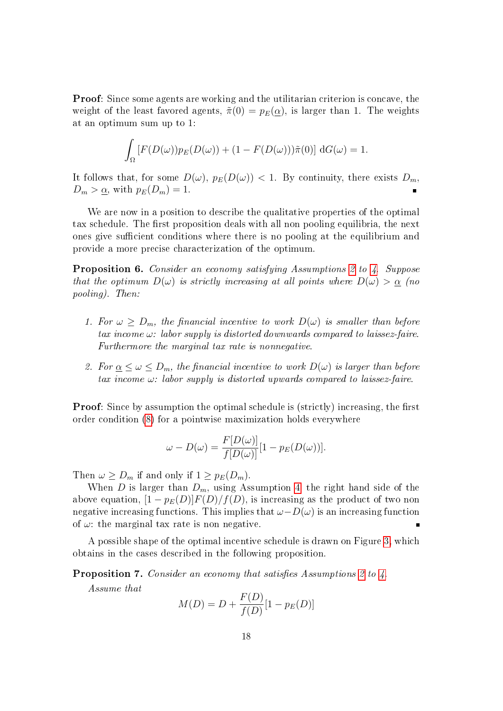Proof: Since some agents are working and the utilitarian criterion is concave, the weight of the least favored agents,  $\tilde{\pi}(0) = p_E(\alpha)$ , is larger than 1. The weights at an optimum sum up to 1:

$$
\int_{\Omega} \left[ F(D(\omega)) p_E(D(\omega)) + (1 - F(D(\omega))) \tilde{\pi}(0) \right] dG(\omega) = 1.
$$

It follows that, for some  $D(\omega)$ ,  $p_E(D(\omega)) < 1$ . By continuity, there exists  $D_m$ ,  $D_m > \underline{\alpha}$ , with  $p_E(D_m) = 1$ .

We are now in a position to describe the qualitative properties of the optimal tax schedule. The first proposition deals with all non pooling equilibria, the next ones give sufficient conditions where there is no pooling at the equilibrium and provide a more precise characterization of the optimum.

<span id="page-19-1"></span>Proposition 6. Consider an economy satisfying Assumptions [2](#page-14-2) to [4.](#page-17-0) Suppose that the optimum  $D(\omega)$  is strictly increasing at all points where  $D(\omega) > \alpha$  (no pooling). Then:

- 1. For  $\omega \ge D_m$ , the financial incentive to work  $D(\omega)$  is smaller than before tax income  $\omega$ : labor supply is distorted downwards compared to laissez-faire. Furthermore the marginal tax rate is nonnegative.
- 2. For  $\alpha \leq \omega \leq D_m$ , the financial incentive to work  $D(\omega)$  is larger than before tax income  $\omega$ : labor supply is distorted upwards compared to laissez-faire.

**Proof:** Since by assumption the optimal schedule is (strictly) increasing, the first order condition [\(8\)](#page-15-2) for a pointwise maximization holds everywhere

$$
\omega - D(\omega) = \frac{F[D(\omega)]}{f[D(\omega)]} [1 - p_E(D(\omega))].
$$

Then  $\omega \ge D_m$  if and only if  $1 \ge p_E(D_m)$ .

When D is larger than  $D_m$ , using Assumption [4,](#page-17-0) the right hand side of the above equation,  $[1 - p_E(D)]F(D)/f(D)$ , is increasing as the product of two non negative increasing functions. This implies that  $\omega-D(\omega)$  is an increasing function of  $\omega$ : the marginal tax rate is non negative.

A possible shape of the optimal incentive schedule is drawn on Figure [3,](#page-16-0) which obtains in the cases described in the following proposition.

<span id="page-19-0"></span>**Proposition 7.** Consider an economy that satisfies Assumptions [2](#page-14-2) to [4.](#page-17-0)

Assume that

$$
M(D) = D + \frac{F(D)}{f(D)}[1 - p_E(D)]
$$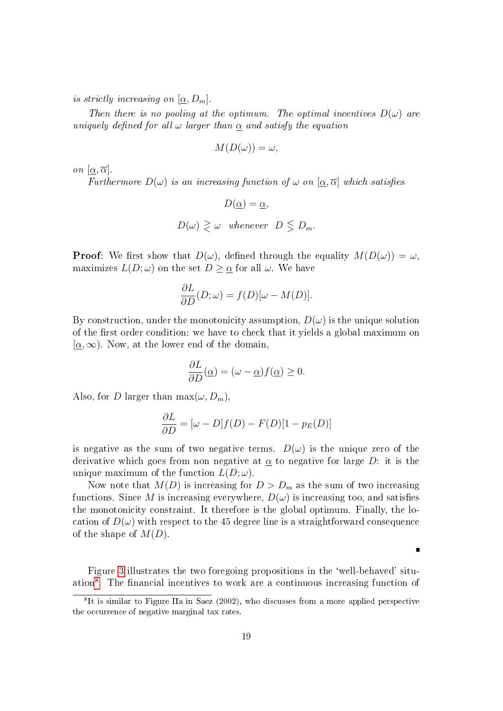is strictly increasing on  $[\underline{\alpha}, D_m]$ .

Then there is no pooling at the optimum. The optimal incentives  $D(\omega)$  are uniquely defined for all  $\omega$  larger than  $\alpha$  and satisfy the equation

$$
M(D(\omega)) = \omega,
$$

on  $[\alpha, \overline{\alpha}]$ .

Furthermore  $D(\omega)$  is an increasing function of  $\omega$  on  $[\alpha, \overline{\alpha}]$  which satisfies

$$
D(\underline{\alpha}) = \underline{\alpha},
$$
  

$$
D(\omega) \geq \omega \quad \text{whenever} \quad D \leq D_m.
$$

**Proof:** We first show that  $D(\omega)$ , defined through the equality  $M(D(\omega)) = \omega$ , maximizes  $L(D; \omega)$  on the set  $D \geq \underline{\alpha}$  for all  $\omega$ . We have

$$
\frac{\partial L}{\partial D}(D; \omega) = f(D)[\omega - M(D)].
$$

By construction, under the monotonicity assumption,  $D(\omega)$  is the unique solution of the first order condition: we have to check that it yields a global maximum on  $[\alpha,\infty)$ . Now, at the lower end of the domain.

$$
\frac{\partial L}{\partial D}(\underline{\alpha}) = (\omega - \underline{\alpha})f(\underline{\alpha}) \ge 0.
$$

Also, for D larger than  $\max(\omega, D_m)$ ,

$$
\frac{\partial L}{\partial D} = [\omega - D]f(D) - F(D)[1 - p_E(D)]
$$

is negative as the sum of two negative terms.  $D(\omega)$  is the unique zero of the derivative which goes from non negative at  $\alpha$  to negative for large D: it is the unique maximum of the function  $L(D; \omega)$ .

Now note that  $M(D)$  is increasing for  $D > D_m$  as the sum of two increasing functions. Since M is increasing everywhere,  $D(\omega)$  is increasing too, and satisfies the monotonicity constraint. It therefore is the global optimum. Finally, the location of  $D(\omega)$  with respect to the 45 degree line is a straightforward consequence of the shape of  $M(D)$ .

Figure [3](#page-16-0) illustrates the two foregoing propositions in the `well-behaved' situ-ation<sup>[8](#page-20-0)</sup>. The financial incentives to work are a continuous increasing function of

 $\blacksquare$ 

<span id="page-20-0"></span><sup>&</sup>lt;sup>8</sup>It is similar to Figure IIa in Saez (2002), who discusses from a more applied perspective the occurrence of negative marginal tax rates.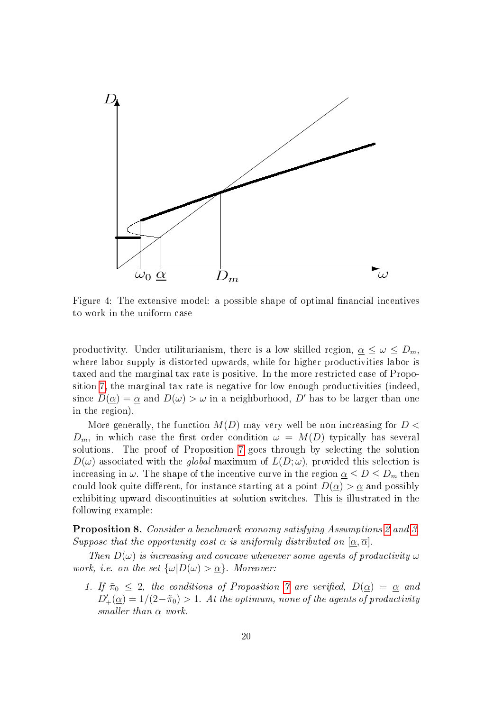

<span id="page-21-0"></span>Figure 4: The extensive model: a possible shape of optimal financial incentives to work in the uniform case

productivity. Under utilitarianism, there is a low skilled region,  $\alpha \leq \omega \leq D_m$ , where labor supply is distorted upwards, while for higher productivities labor is taxed and the marginal tax rate is positive. In the more restricted case of Proposition [7,](#page-19-0) the marginal tax rate is negative for low enough productivities (indeed, since  $D(\alpha) = \alpha$  and  $D(\omega) > \omega$  in a neighborhood, D' has to be larger than one in the region).

More generally, the function  $M(D)$  may very well be non increasing for  $D <$  $D_m$ , in which case the first order condition  $\omega = M(D)$  typically has several solutions. The proof of Proposition [7](#page-19-0) goes through by selecting the solution  $D(\omega)$  associated with the global maximum of  $L(D; \omega)$ , provided this selection is increasing in  $\omega$ . The shape of the incentive curve in the region  $\underline{\alpha} \leq D \leq D_m$  then could look quite different, for instance starting at a point  $D(\underline{\alpha}) > \underline{\alpha}$  and possibly exhibiting upward discontinuities at solution switches. This is illustrated in the following example:

<span id="page-21-1"></span>Proposition 8. Consider a benchmark economy satisfying Assumptions [2](#page-14-2) and [3.](#page-17-1) Suppose that the opportunity cost  $\alpha$  is uniformly distributed on  $[\alpha, \overline{\alpha}]$ .

Then  $D(\omega)$  is increasing and concave whenever some agents of productivity  $\omega$ work, i.e. on the set  $\{\omega|D(\omega) > \alpha\}$ . Moreover:

1. If  $\tilde{\pi}_0 \leq 2$ , the conditions of Proposition [7](#page-19-0) are verified,  $D(\underline{\alpha}) = \underline{\alpha}$  and  $D'_+(\underline{\alpha}) = 1/(2-\tilde{\pi}_0) > 1$ . At the optimum, none of the agents of productivity smaller than  $\underline{\alpha}$  work.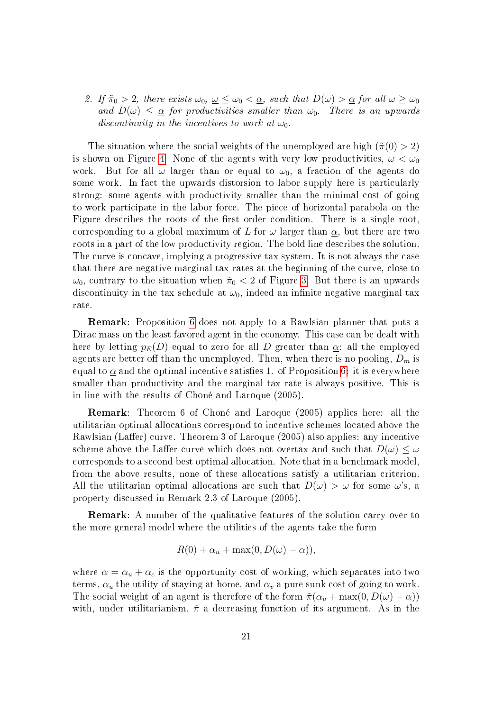2. If  $\tilde{\pi}_0 > 2$ , there exists  $\omega_0$ ,  $\underline{\omega} \leq \omega_0 < \underline{\alpha}$ , such that  $D(\omega) > \underline{\alpha}$  for all  $\omega \geq \omega_0$ and  $D(\omega) \leq \alpha$  for productivities smaller than  $\omega_0$ . There is an upwards discontinuity in the incentives to work at  $\omega_0$ .

The situation where the social weights of the unemployed are high  $(\tilde{\pi}(0) > 2)$ is shown on Figure [4.](#page-21-0) None of the agents with very low productivities,  $\omega < \omega_0$ work. But for all  $\omega$  larger than or equal to  $\omega_0$ , a fraction of the agents do some work. In fact the upwards distorsion to labor supply here is particularly strong: some agents with productivity smaller than the minimal cost of going to work participate in the labor force. The piece of horizontal parabola on the Figure describes the roots of the first order condition. There is a single root. corresponding to a global maximum of L for  $\omega$  larger than  $\underline{\alpha}$ , but there are two roots in a part of the low productivity region. The bold line describes the solution. The curve is concave, implying a progressive tax system. It is not always the case that there are negative marginal tax rates at the beginning of the curve, close to  $\omega_0$ , contrary to the situation when  $\tilde{\pi}_0 < 2$  of Figure [3.](#page-16-0) But there is an upwards discontinuity in the tax schedule at  $\omega_0$ , indeed an infinite negative marginal tax rate.

Remark: Proposition [6](#page-19-1) does not apply to a Rawlsian planner that puts a Dirac mass on the least favored agent in the economy. This case can be dealt with here by letting  $p_E(D)$  equal to zero for all D greater than  $\alpha$ : all the employed agents are better off than the unemployed. Then, when there is no pooling,  $D_m$  is equal to  $\alpha$  and the optimal incentive satisfies 1. of Proposition [6:](#page-19-1) it is everywhere smaller than productivity and the marginal tax rate is always positive. This is in line with the results of Choné and Laroque (2005).

Remark: Theorem 6 of Choné and Laroque (2005) applies here: all the utilitarian optimal allocations correspond to incentive schemes located above the Rawlsian (Laffer) curve. Theorem 3 of Laroque (2005) also applies: any incentive scheme above the Laffer curve which does not overtax and such that  $D(\omega) \leq \omega$ corresponds to a second best optimal allocation. Note that in a benchmark model, from the above results, none of these allocations satisfy a utilitarian criterion. All the utilitarian optimal allocations are such that  $D(\omega) > \omega$  for some  $\omega$ 's, a property discussed in Remark 2.3 of Laroque (2005).

Remark: A number of the qualitative features of the solution carry over to the more general model where the utilities of the agents take the form

$$
R(0) + \alpha_u + \max(0, D(\omega) - \alpha)),
$$

where  $\alpha = \alpha_u + \alpha_c$  is the opportunity cost of working, which separates into two terms,  $\alpha_u$  the utility of staying at home, and  $\alpha_v$  a pure sunk cost of going to work. The social weight of an agent is therefore of the form  $\tilde{\pi}(\alpha_u + \max(0, D(\omega) - \alpha))$ with, under utilitarianism,  $\tilde{\pi}$  a decreasing function of its argument. As in the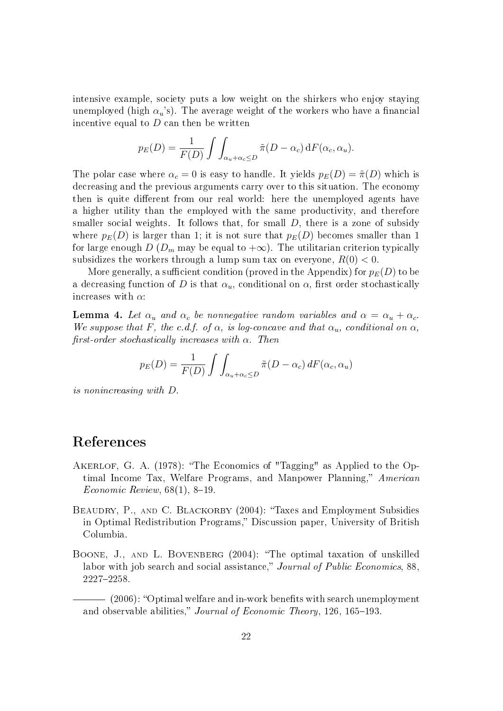intensive example, society puts a low weight on the shirkers who enjoy staying unemployed (high  $\alpha_u$ 's). The average weight of the workers who have a financial incentive equal to  $D$  can then be written

$$
p_E(D) = \frac{1}{F(D)} \int \int_{\alpha_u + \alpha_c \le D} \tilde{\pi}(D - \alpha_c) dF(\alpha_c, \alpha_u).
$$

The polar case where  $\alpha_c = 0$  is easy to handle. It yields  $p_E(D) = \tilde{\pi}(D)$  which is decreasing and the previous arguments carry over to this situation. The economy then is quite different from our real world: here the unemployed agents have a higher utility than the employed with the same productivity, and therefore smaller social weights. It follows that, for small  $D$ , there is a zone of subsidy where  $p_E(D)$  is larger than 1; it is not sure that  $p_E(D)$  becomes smaller than 1 for large enough D ( $D_m$  may be equal to  $+\infty$ ). The utilitarian criterion typically subsidizes the workers through a lump sum tax on everyone,  $R(0) < 0$ .

More generally, a sufficient condition (proved in the Appendix) for  $p_E(D)$  to be a decreasing function of D is that  $\alpha_u$ , conditional on  $\alpha$ , first order stochastically increases with  $\alpha$ :

<span id="page-23-0"></span>**Lemma 4.** Let  $\alpha_u$  and  $\alpha_c$  be nonnegative random variables and  $\alpha = \alpha_u + \alpha_c$ . We suppose that F, the c.d.f. of  $\alpha$ , is log-concave and that  $\alpha_u$ , conditional on  $\alpha$ , first-order stochastically increases with  $\alpha$ . Then

$$
p_E(D) = \frac{1}{F(D)} \int \int_{\alpha_u + \alpha_c \le D} \tilde{\pi}(D - \alpha_c) dF(\alpha_c, \alpha_u)
$$

is nonincreasing with D.

# References

- AKERLOF, G. A. (1978): "The Economics of "Tagging" as Applied to the Optimal Income Tax, Welfare Programs, and Manpower Planning," American  $E_{\text{conomic Review}, 68(1), 8-19.}$
- BEAUDRY, P., AND C. BLACKORBY (2004): "Taxes and Employment Subsidies in Optimal Redistribution Programs," Discussion paper, University of British Columbia.
- BOONE, J., AND L. BOVENBERG (2004): "The optimal taxation of unskilled labor with job search and social assistance," Journal of Public Economics, 88. 2227-2258.

 $-$  (2006): "Optimal welfare and in-work benefits with search unemployment and observable abilities," Journal of Economic Theory, 126, 165-193.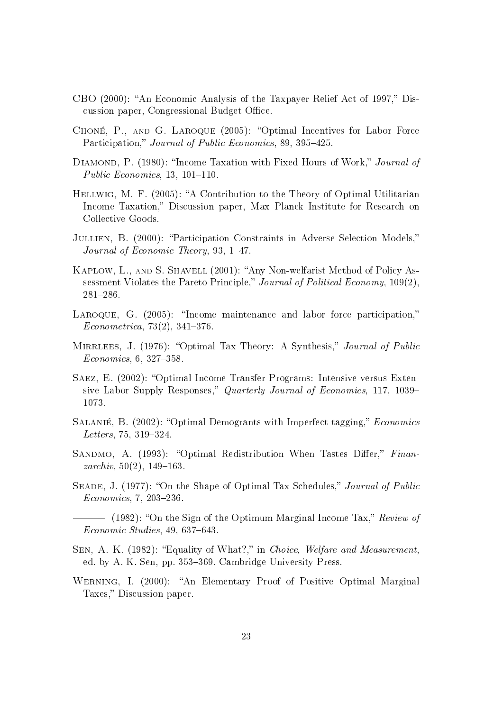- CBO (2000): "An Economic Analysis of the Taxpayer Relief Act of 1997," Discussion paper, Congressional Budget Office.
- CHONÉ, P., AND G. LAROQUE (2005): "Optimal Incentives for Labor Force Participation," Journal of Public Economics, 89, 395-425.
- DIAMOND, P. (1980): "Income Taxation with Fixed Hours of Work," Journal of Public Economics,  $13, 101-110$ .
- HELLWIG, M. F. (2005): "A Contribution to the Theory of Optimal Utilitarian Income Taxation," Discussion paper, Max Planck Institute for Research on Collective Goods.
- JULLIEN, B. (2000): "Participation Constraints in Adverse Selection Models," Journal of Economic Theory, 93,  $1-47$ .
- KAPLOW, L., AND S. SHAVELL (2001): "Any Non-welfarist Method of Policy Assessment Violates the Pareto Principle," Journal of Political Economy,  $109(2)$ , 281286.
- LAROQUE, G. (2005): "Income maintenance and labor force participation,"  $Econometrica, 73(2), 341-376.$
- MIRRLEES, J. (1976): "Optimal Tax Theory: A Synthesis," Journal of Public  $Economics, 6, 327-358.$
- SAEZ, E. (2002): "Optimal Income Transfer Programs: Intensive versus Extensive Labor Supply Responses," Quarterly Journal of Economics, 117, 1039– 1073.
- SALANIÉ, B. (2002): "Optimal Demogrants with Imperfect tagging," Economics  $Leters, 75, 319-324.$
- SANDMO, A. (1993): "Optimal Redistribution When Tastes Differ," Finan $zarchiv, 50(2), 149-163.$
- SEADE, J. (1977): "On the Shape of Optimal Tax Schedules," Journal of Public  $Economics, 7, 203-236.$

 $-$  (1982): "On the Sign of the Optimum Marginal Income Tax," Review of  $Economic Studies, 49, 637–643.$ 

- SEN, A. K. (1982): "Equality of What?," in Choice, Welfare and Measurement, ed. by A. K. Sen, pp. 353–369. Cambridge University Press.
- WERNING, I. (2000): "An Elementary Proof of Positive Optimal Marginal Taxes," Discussion paper.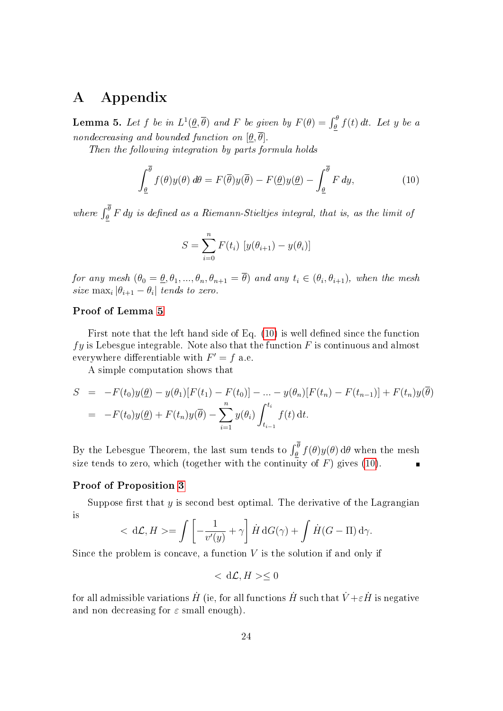# A Appendix

<span id="page-25-0"></span>**Lemma 5.** Let  $f$  be in  $L^1(\underline{\theta}, \overline{\theta})$  and  $F$  be given by  $F(\theta) = \int_{\underline{\theta}}^{\theta} f(t) dt$ . Let  $y$  be a nondecreasing and bounded function on  $[\theta, \overline{\theta}]$ .

Then the following integration by parts formula holds

$$
\int_{\underline{\theta}}^{\overline{\theta}} f(\theta)y(\theta) d\theta = F(\overline{\theta})y(\overline{\theta}) - F(\underline{\theta})y(\underline{\theta}) - \int_{\underline{\theta}}^{\overline{\theta}} F dy,
$$
\n(10)

where  $\int_{\theta}^{\theta} F dy$  is defined as a Riemann-Stieltjes integral, that is, as the limit of

<span id="page-25-1"></span>
$$
S = \sum_{i=0}^{n} F(t_i) [y(\theta_{i+1}) - y(\theta_i)]
$$

for any mesh  $(\theta_0 = \underline{\theta}, \theta_1, ..., \theta_n, \theta_{n+1} = \theta)$  and any  $t_i \in (\theta_i, \theta_{i+1})$ , when the mesh size  $\max_i |\theta_{i+1} - \theta_i|$  tends to zero.

### Proof of Lemma [5](#page-25-0)

First note that the left hand side of Eq.  $(10)$  is well defined since the function  $fy$  is Lebesgue integrable. Note also that the function F is continuous and almost everywhere differentiable with  $F' = f$  a.e.

A simple computation shows that

$$
S = -F(t_0)y(\underline{\theta}) - y(\theta_1)[F(t_1) - F(t_0)] - \dots - y(\theta_n)[F(t_n) - F(t_{n-1})] + F(t_n)y(\overline{\theta})
$$
  
= 
$$
-F(t_0)y(\underline{\theta}) + F(t_n)y(\overline{\theta}) - \sum_{i=1}^n y(\theta_i) \int_{t_{i-1}}^{t_i} f(t) dt.
$$

By the Lebesgue Theorem, the last sum tends to  $\int_\theta^\theta f(\theta)y(\theta)\,\mathrm{d}\theta$  when the mesh size tends to zero, which (together with the continuity of  $F$ ) gives [\(10\)](#page-25-1).

#### Proof of Proposition [3](#page-10-1)

Suppose first that  $y$  is second best optimal. The derivative of the Lagrangian is

$$
\langle \mathrm{d}\mathcal{L}, H \rangle = \int \left[ -\frac{1}{v'(y)} + \gamma \right] \dot{H} \, \mathrm{d}G(\gamma) + \int \dot{H} (G - \Pi) \, \mathrm{d}\gamma.
$$

Since the problem is concave, a function  $V$  is the solution if and only if

 $< d\mathcal{L}, H>0$ 

for all admissible variations  $\dot{H}$  (ie, for all functions  $\dot{H}$  such that  $\dot{V}\!+\!\varepsilon\dot{H}$  is negative and non decreasing for  $\varepsilon$  small enough).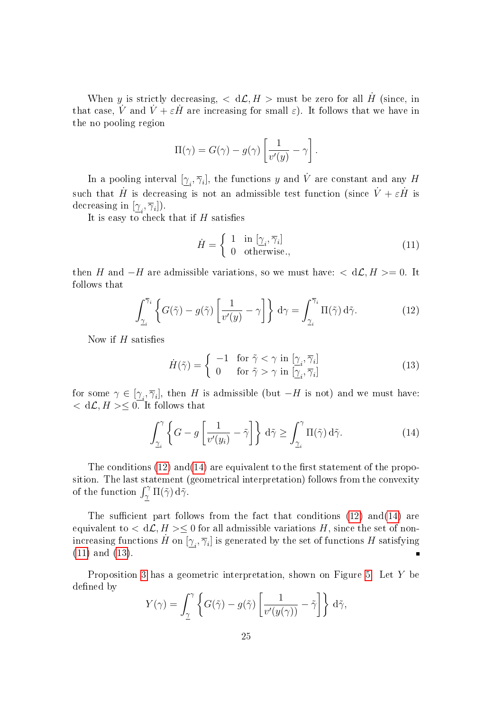When y is strictly decreasing,  $\langle d\mathcal{L}, H \rangle$  must be zero for all  $\dot{H}$  (since, in that case,  $\dot{V}$  and  $\dot{V} + \varepsilon \dot{H}$  are increasing for small  $\varepsilon$ ). It follows that we have in the no pooling region

$$
\Pi(\gamma) = G(\gamma) - g(\gamma) \left[ \frac{1}{v'(y)} - \gamma \right].
$$

In a pooling interval  $[\gamma_i, \overline{\gamma}_i]$ , the functions y and V are constant and any H such that  $\dot{H}$  is decreasing is not an admissible test function (since  $\dot{V} + \varepsilon \dot{H}$  is decreasing in  $[\underline{\gamma}_i, \overline{\gamma}_i]$ ).

It is easy to check that if  $H$  satisfies

<span id="page-26-2"></span>
$$
\dot{H} = \begin{cases} 1 & \text{in } [\underline{\gamma}_i, \overline{\gamma}_i] \\ 0 & \text{otherwise.}, \end{cases}
$$
 (11)

then H and  $-H$  are admissible variations, so we must have:  $\langle d\mathcal{L}, H \rangle = 0$ . It follows that

<span id="page-26-0"></span>
$$
\int_{\gamma_i}^{\overline{\gamma}_i} \left\{ G(\tilde{\gamma}) - g(\tilde{\gamma}) \left[ \frac{1}{v'(y)} - \gamma \right] \right\} d\gamma = \int_{\gamma_i}^{\overline{\gamma}_i} \Pi(\tilde{\gamma}) d\tilde{\gamma}.
$$
 (12)

Now if  $H$  satisfies

<span id="page-26-3"></span><span id="page-26-1"></span>
$$
\dot{H}(\tilde{\gamma}) = \begin{cases}\n-1 & \text{for } \tilde{\gamma} < \gamma \text{ in } [\underline{\gamma}_i, \overline{\gamma}_i] \\
0 & \text{for } \tilde{\gamma} > \gamma \text{ in } [\underline{\gamma}_i, \overline{\gamma}_i]\n\end{cases}
$$
\n(13)

for some  $\gamma \in [\underline{\gamma}_i, \overline{\gamma}_i]$ , then H is admissible (but  $-H$  is not) and we must have:  $< d\mathcal{L}, H> \leq 0$ . It follows that

$$
\int_{\underline{\gamma}_i}^{\gamma} \left\{ G - g \left[ \frac{1}{v'(y_i)} - \tilde{\gamma} \right] \right\} d\tilde{\gamma} \ge \int_{\underline{\gamma}_i}^{\gamma} \Pi(\tilde{\gamma}) d\tilde{\gamma}.
$$
 (14)

The conditions  $(12)$  and  $(14)$  are equivalent to the first statement of the proposition. The last statement (geometrical interpretation) follows from the convexity of the function  $\int_{\gamma}^{\gamma} \Pi(\tilde{\gamma}) d\tilde{\gamma}$ .

The sufficient part follows from the fact that conditions  $(12)$  and $(14)$  are equivalent to  $< d\mathcal{L}, H> \leq 0$  for all admissible variations H, since the set of nonincreasing functions  $\dot{H}$  on  $[\underline{\gamma}_i, \overline{\gamma}_i]$  is generated by the set of functions  $H$  satisfying [\(11\)](#page-26-2) and [\(13\)](#page-26-3).  $\blacksquare$ 

Proposition [3](#page-10-1) has a geometric interpretation, shown on Figure [5.](#page-27-0) Let Y be defined by

$$
Y(\gamma) = \int_{\underline{\gamma}}^{\gamma} \left\{ G(\tilde{\gamma}) - g(\tilde{\gamma}) \left[ \frac{1}{v'(y(\gamma))} - \tilde{\gamma} \right] \right\} d\tilde{\gamma},
$$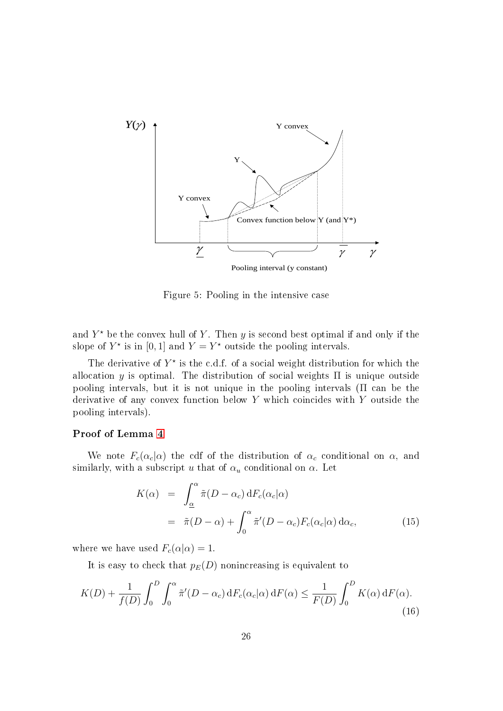

<span id="page-27-0"></span>Figure 5: Pooling in the intensive case

and  $Y^*$  be the convex hull of  $Y$ . Then  $y$  is second best optimal if and only if the slope of  $Y^*$  is in [0, 1] and  $Y = Y^*$  outside the pooling intervals.

The derivative of  $Y^*$  is the c.d.f. of a social weight distribution for which the allocation y is optimal. The distribution of social weights  $\Pi$  is unique outside pooling intervals, but it is not unique in the pooling intervals (Π can be the derivative of any convex function below Y which coincides with Y outside the pooling intervals).

#### Proof of Lemma [4](#page-23-0)

We note  $F_c(\alpha_c|\alpha)$  the cdf of the distribution of  $\alpha_c$  conditional on  $\alpha$ , and similarly, with a subscript u that of  $\alpha_u$  conditional on  $\alpha$ . Let

<span id="page-27-2"></span><span id="page-27-1"></span>
$$
K(\alpha) = \int_{\alpha}^{\alpha} \tilde{\pi}(D - \alpha_c) dF_c(\alpha_c|\alpha)
$$
  
=  $\tilde{\pi}(D - \alpha) + \int_0^{\alpha} \tilde{\pi}'(D - \alpha_c) F_c(\alpha_c|\alpha) d\alpha_c,$  (15)

where we have used  $F_c(\alpha|\alpha) = 1$ .

It is easy to check that  $p_E(D)$  nonincreasing is equivalent to

$$
K(D) + \frac{1}{f(D)} \int_0^D \int_0^\alpha \tilde{\pi}'(D - \alpha_c) dF_c(\alpha_c|\alpha) dF(\alpha) \le \frac{1}{F(D)} \int_0^D K(\alpha) dF(\alpha).
$$
\n(16)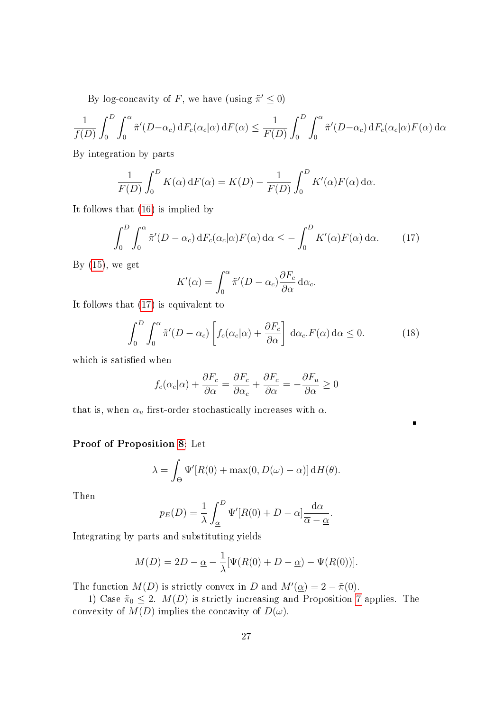By log-concavity of F, we have (using  $\tilde{\pi}' \leq 0$ )

$$
\frac{1}{f(D)} \int_0^D \int_0^{\alpha} \tilde{\pi}'(D-\alpha_c) dF_c(\alpha_c|\alpha) dF(\alpha) \le \frac{1}{F(D)} \int_0^D \int_0^{\alpha} \tilde{\pi}'(D-\alpha_c) dF_c(\alpha_c|\alpha) F(\alpha) d\alpha
$$

By integration by parts

$$
\frac{1}{F(D)} \int_0^D K(\alpha) dF(\alpha) = K(D) - \frac{1}{F(D)} \int_0^D K'(\alpha) F(\alpha) d\alpha.
$$

It follows that [\(16\)](#page-27-1) is implied by

$$
\int_0^D \int_0^\alpha \tilde{\pi}'(D - \alpha_c) dF_c(\alpha_c|\alpha) F(\alpha) d\alpha \le - \int_0^D K'(\alpha) F(\alpha) d\alpha.
$$
 (17)

By  $(15)$ , we get

<span id="page-28-0"></span>
$$
K'(\alpha) = \int_0^\alpha \tilde{\pi}'(D - \alpha_c) \frac{\partial F_c}{\partial \alpha} d\alpha_c.
$$

It follows that [\(17\)](#page-28-0) is equivalent to

$$
\int_0^D \int_0^\alpha \tilde{\pi}'(D - \alpha_c) \left[ f_c(\alpha_c|\alpha) + \frac{\partial F_c}{\partial \alpha} \right] d\alpha_c \cdot F(\alpha) d\alpha \le 0.
$$
 (18)

which is satisfied when

$$
f_c(\alpha_c|\alpha) + \frac{\partial F_c}{\partial \alpha} = \frac{\partial F_c}{\partial \alpha_c} + \frac{\partial F_c}{\partial \alpha} = -\frac{\partial F_u}{\partial \alpha} \ge 0
$$

that is, when  $\alpha_u$  first-order stochastically increases with  $\alpha$ .

### Proof of Proposition [8:](#page-21-1) Let

$$
\lambda = \int_{\Theta} \Psi'[R(0) + \max(0, D(\omega) - \alpha)] \, dH(\theta).
$$

Then

$$
p_E(D) = \frac{1}{\lambda} \int_{\underline{\alpha}}^D \Psi'[R(0) + D - \alpha] \frac{\mathrm{d}\alpha}{\overline{\alpha} - \underline{\alpha}}.
$$

Integrating by parts and substituting yields

$$
M(D) = 2D - \underline{\alpha} - \frac{1}{\lambda} [\Psi(R(0) + D - \underline{\alpha}) - \Psi(R(0))].
$$

The function  $M(D)$  is strictly convex in D and  $M'(\underline{\alpha}) = 2 - \tilde{\pi}(0)$ .

1) Case  $\tilde{\pi}_0 \leq 2$ .  $M(D)$  is strictly increasing and Proposition [7](#page-19-0) applies. The convexity of  $M(D)$  implies the concavity of  $D(\omega)$ .